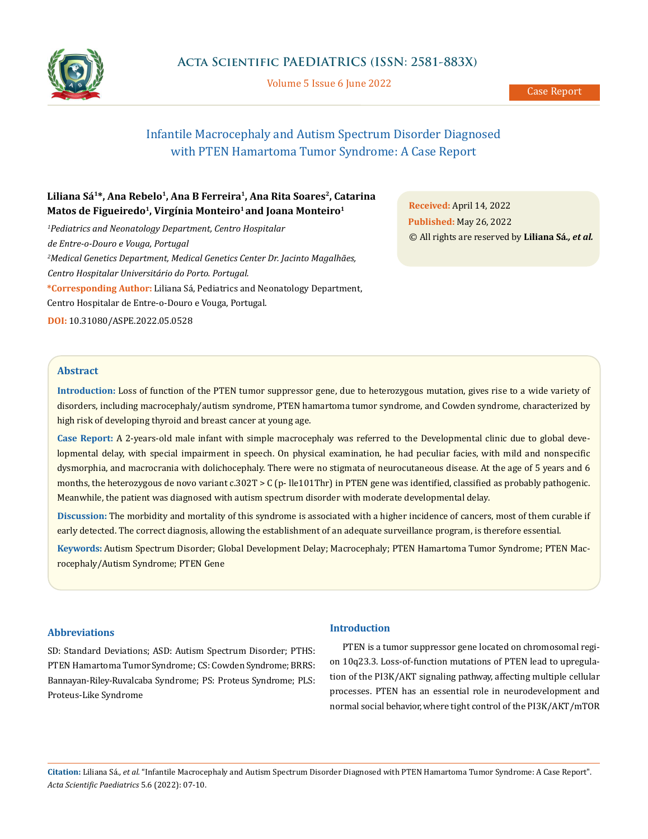

Volume 5 Issue 6 June 2022

# Infantile Macrocephaly and Autism Spectrum Disorder Diagnosed with PTEN Hamartoma Tumor Syndrome: A Case Report

## Liliana Sá<sup>1\*</sup>, Ana Rebelo<sup>1</sup>, Ana B Ferreira<sup>1</sup>, Ana Rita Soares<sup>2</sup>, Catarina **Matos de Figueiredo1, Virgínia Monteiro1 and Joana Monteiro1**

*1 Pediatrics and Neonatology Department, Centro Hospitalar de Entre-o-Douro e Vouga, Portugal 2 Medical Genetics Department, Medical Genetics Center Dr. Jacinto Magalhães, Centro Hospitalar Universitário do Porto. Portugal.* **\*Corresponding Author:** Liliana Sá, Pediatrics and Neonatology Department, Centro Hospitalar de Entre-o-Douro e Vouga, Portugal. **DOI:** [10.31080/ASPE.2022.05.0528](https://actascientific.com/ASPE/pdf/ASPE-05-0528.pdf)

**Received:** April 14, 2022 **Published:** May 26, 2022 © All rights are reserved by **Liliana Sá***., et al.*

### **Abstract**

**Introduction:** Loss of function of the PTEN tumor suppressor gene, due to heterozygous mutation, gives rise to a wide variety of disorders, including macrocephaly/autism syndrome, PTEN hamartoma tumor syndrome, and Cowden syndrome, characterized by high risk of developing thyroid and breast cancer at young age.

**Case Report:** A 2-years-old male infant with simple macrocephaly was referred to the Developmental clinic due to global developmental delay, with special impairment in speech. On physical examination, he had peculiar facies, with mild and nonspecific dysmorphia, and macrocrania with dolichocephaly. There were no stigmata of neurocutaneous disease. At the age of 5 years and 6 months, the heterozygous de novo variant c.302T > C (p- lle101Thr) in PTEN gene was identified, classified as probably pathogenic. Meanwhile, the patient was diagnosed with autism spectrum disorder with moderate developmental delay.

**Discussion:** The morbidity and mortality of this syndrome is associated with a higher incidence of cancers, most of them curable if early detected. The correct diagnosis, allowing the establishment of an adequate surveillance program, is therefore essential.

**Keywords:** Autism Spectrum Disorder; Global Development Delay; Macrocephaly; PTEN Hamartoma Tumor Syndrome; PTEN Macrocephaly/Autism Syndrome; PTEN Gene

### **Abbreviations**

SD: Standard Deviations; ASD: Autism Spectrum Disorder; PTHS: PTEN Hamartoma Tumor Syndrome; CS: Cowden Syndrome; BRRS: Bannayan-Riley-Ruvalcaba Syndrome; PS: Proteus Syndrome; PLS: Proteus-Like Syndrome

## **Introduction**

PTEN is a tumor suppressor gene located on chromosomal region 10q23.3. Loss-of-function mutations of PTEN lead to upregulation of the PI3K/AKT signaling pathway, affecting multiple cellular processes. PTEN has an essential role in neurodevelopment and normal social behavior, where tight control of the PI3K/AKT/mTOR

**Citation:** Liliana Sá*., et al.* "Infantile Macrocephaly and Autism Spectrum Disorder Diagnosed with PTEN Hamartoma Tumor Syndrome: A Case Report". *Acta Scientific Paediatrics* 5.6 (2022): 07-10.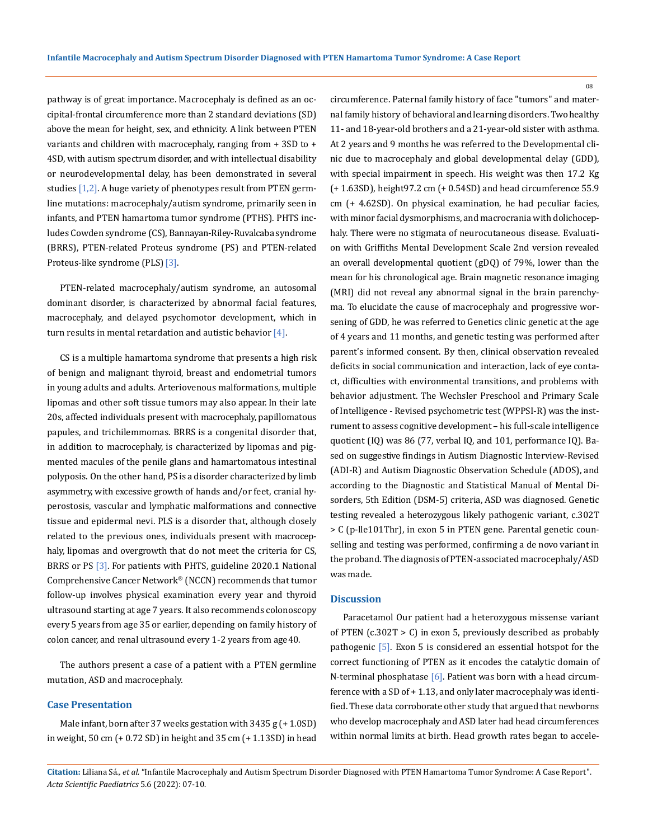pathway is of great importance. Macrocephaly is defined as an occipital-frontal circumference more than 2 standard deviations (SD) above the mean for height, sex, and ethnicity. A link between PTEN variants and children with macrocephaly, ranging from + 3SD to + 4SD, with autism spectrum disorder, and with intellectual disability or neurodevelopmental delay, has been demonstrated in several studies [1,2]. A huge variety of phenotypes result from PTEN germline mutations: macrocephaly/autism syndrome, primarily seen in infants, and PTEN hamartoma tumor syndrome (PTHS). PHTS includes Cowden syndrome (CS), Bannayan-Riley-Ruvalcaba syndrome (BRRS), PTEN-related Proteus syndrome (PS) and PTEN-related Proteus-like syndrome (PLS) [3].

PTEN-related macrocephaly/autism syndrome, an autosomal dominant disorder, is characterized by abnormal facial features, macrocephaly, and delayed psychomotor development, which in turn results in mental retardation and autistic behavior [4].

CS is a multiple hamartoma syndrome that presents a high risk of benign and malignant thyroid, breast and endometrial tumors in young adults and adults. Arteriovenous malformations, multiple lipomas and other soft tissue tumors may also appear. In their late 20s, affected individuals present with macrocephaly, papillomatous papules, and trichilemmomas. BRRS is a congenital disorder that, in addition to macrocephaly, is characterized by lipomas and pigmented macules of the penile glans and hamartomatous intestinal polyposis. On the other hand, PS is a disorder characterized by limb asymmetry, with excessive growth of hands and/or feet, cranial hyperostosis, vascular and lymphatic malformations and connective tissue and epidermal nevi. PLS is a disorder that, although closely related to the previous ones, individuals present with macrocephaly, lipomas and overgrowth that do not meet the criteria for CS, BRRS or PS <a>[3]</a>. For patients with PHTS, guideline 2020.1 National Comprehensive Cancer Network® (NCCN) recommends that tumor follow-up involves physical examination every year and thyroid ultrasound starting at age 7 years. It also recommends colonoscopy every 5 years from age 35 or earlier, depending on family history of colon cancer, and renal ultrasound every 1-2 years from age 40.

The authors present a case of a patient with a PTEN germline mutation, ASD and macrocephaly.

## **Case Presentation**

Male infant, born after 37 weeks gestation with 3435 g (+ 1.0SD) in weight, 50 cm (+ 0.72 SD) in height and 35 cm (+ 1.13SD) in head circumference. Paternal family history of face "tumors" and maternal family history of behavioral and learning disorders. Two healthy 11- and 18-year-old brothers and a 21-year-old sister with asthma. At 2 years and 9 months he was referred to the Developmental clinic due to macrocephaly and global developmental delay (GDD), with special impairment in speech. His weight was then 17.2 Kg (+ 1.63SD), height97.2 cm (+ 0.54SD) and head circumference 55.9 cm (+ 4.62SD). On physical examination, he had peculiar facies, with minor facial dysmorphisms, and macrocrania with dolichocephaly. There were no stigmata of neurocutaneous disease. Evaluation with Griffiths Mental Development Scale 2nd version revealed an overall developmental quotient (gDQ) of 79%, lower than the mean for his chronological age. Brain magnetic resonance imaging (MRI) did not reveal any abnormal signal in the brain parenchyma. To elucidate the cause of macrocephaly and progressive worsening of GDD, he was referred to Genetics clinic genetic at the age of 4 years and 11 months, and genetic testing was performed after parent's informed consent. By then, clinical observation revealed deficits in social communication and interaction, lack of eye contact, difficulties with environmental transitions, and problems with behavior adjustment. The Wechsler Preschool and Primary Scale of Intelligence - Revised psychometric test (WPPSI-R) was the instrument to assess cognitive development – his full-scale intelligence quotient (IQ) was 86 (77, verbal IQ, and 101, performance IQ). Based on suggestive findings in Autism Diagnostic Interview-Revised (ADI-R) and Autism Diagnostic Observation Schedule (ADOS), and according to the Diagnostic and Statistical Manual of Mental Disorders, 5th Edition (DSM-5) criteria, ASD was diagnosed. Genetic testing revealed a heterozygous likely pathogenic variant, c.302T > C (p-lle101Thr), in exon 5 in PTEN gene. Parental genetic counselling and testing was performed, confirming a de novo variant in the proband. The diagnosis of PTEN-associated macrocephaly/ASD was made.

#### **Discussion**

Paracetamol Our patient had a heterozygous missense variant of PTEN (c.302T > C) in exon 5, previously described as probably pathogenic [5]. Exon 5 is considered an essential hotspot for the correct functioning of PTEN as it encodes the catalytic domain of N-terminal phosphatase [6]. Patient was born with a head circumference with a SD of + 1.13, and only later macrocephaly was identified. These data corroborate other study that argued that newborns who develop macrocephaly and ASD later had head circumferences within normal limits at birth. Head growth rates began to accele-

**Citation:** Liliana Sá*., et al.* "Infantile Macrocephaly and Autism Spectrum Disorder Diagnosed with PTEN Hamartoma Tumor Syndrome: A Case Report". *Acta Scientific Paediatrics* 5.6 (2022): 07-10.

08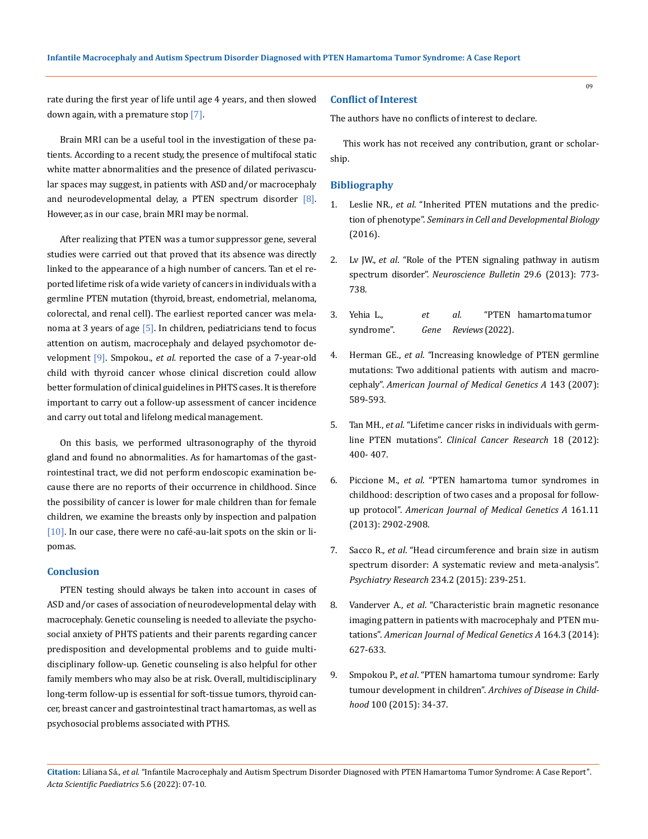rate during the first year of life until age 4 years, and then slowed down again, with a premature stop [7].

Brain MRI can be a useful tool in the investigation of these patients. According to a recent study, the presence of multifocal static white matter abnormalities and the presence of dilated perivascular spaces may suggest, in patients with ASD and/or macrocephaly and neurodevelopmental delay, a PTEN spectrum disorder [8]. However, as in our case, brain MRI may be normal.

After realizing that PTEN was a tumor suppressor gene, several studies were carried out that proved that its absence was directly linked to the appearance of a high number of cancers. Tan et el reported lifetime risk of a wide variety of cancers in individuals with a germline PTEN mutation (thyroid, breast, endometrial, melanoma, colorectal, and renal cell). The earliest reported cancer was melanoma at 3 years of age  $[5]$ . In children, pediatricians tend to focus attention on autism, macrocephaly and delayed psychomotor development [9]. Smpokou., *et al.* reported the case of a 7-year-old child with thyroid cancer whose clinical discretion could allow better formulation of clinical guidelines in PHTS cases. It is therefore important to carry out a follow-up assessment of cancer incidence and carry out total and lifelong medical management.

On this basis, we performed ultrasonography of the thyroid gland and found no abnormalities. As for hamartomas of the gastrointestinal tract, we did not perform endoscopic examination because there are no reports of their occurrence in childhood. Since the possibility of cancer is lower for male children than for female children, we examine the breasts only by inspection and palpation [10]. In our case, there were no café-au-lait spots on the skin or lipomas.

#### **Conclusion**

PTEN testing should always be taken into account in cases of ASD and/or cases of association of neurodevelopmental delay with macrocephaly. Genetic counseling is needed to alleviate the psychosocial anxiety of PHTS patients and their parents regarding cancer predisposition and developmental problems and to guide multidisciplinary follow-up. Genetic counseling is also helpful for other family members who may also be at risk. Overall, multidisciplinary long-term follow-up is essential for soft-tissue tumors, thyroid cancer, breast cancer and gastrointestinal tract hamartomas, as well as psychosocial problems associated with PTHS.

#### **Conflict of Interest**

The authors have no conflicts of interest to declare.

This work has not received any contribution, grant or scholarship.

#### **Bibliography**

- 1. Leslie NR., *et al*[. "Inherited PTEN mutations and the predic](https://www.researchgate.net/publication/292211219_Inherited_PTEN_mutations_and_the_prediction_of_phenotype)tion of phenotype". *[Seminars in Cell and Developmental Biology](https://www.researchgate.net/publication/292211219_Inherited_PTEN_mutations_and_the_prediction_of_phenotype)*  [\(2016\).](https://www.researchgate.net/publication/292211219_Inherited_PTEN_mutations_and_the_prediction_of_phenotype)
- 2. Lv JW., *et al*[. "Role of the PTEN signaling pathway in autism](https://pubmed.ncbi.nlm.nih.gov/24136242/)  spectrum disorder". *[Neuroscience Bulletin](https://pubmed.ncbi.nlm.nih.gov/24136242/)* 29.6 (2013): 773- [738.](https://pubmed.ncbi.nlm.nih.gov/24136242/)
- 3. Yehia L., *et al.* "PTEN [hamartoma](https://www.ncbi.nlm.nih.gov/books/NBK1488/) tumor [syndrome".](https://www.ncbi.nlm.nih.gov/books/NBK1488/) *Gene Reviews* (2022).
- 4. Herman GE., *et al*. "Increasing [knowledge of](https://onlinelibrary.wiley.com/doi/abs/10.1002/ajmg.a.31619) PTEN germline mutations: Two additional patients with [autism and macro](https://onlinelibrary.wiley.com/doi/abs/10.1002/ajmg.a.31619)cephaly". *[American Journal of Medical Genetics A](https://onlinelibrary.wiley.com/doi/abs/10.1002/ajmg.a.31619)* 143 (2007): [589-593.](https://onlinelibrary.wiley.com/doi/abs/10.1002/ajmg.a.31619)
- 5. Tan MH., *et al*. "Lifetime cancer risks in [individuals](https://www.ncbi.nlm.nih.gov/pmc/articles/PMC3261579/) with germline PTEN mutations". *[Clinical Cancer Research](https://www.ncbi.nlm.nih.gov/pmc/articles/PMC3261579/)* 18 (2012): [400- 407.](https://www.ncbi.nlm.nih.gov/pmc/articles/PMC3261579/)
- 6. Piccione M., *et al*[. "PTEN hamartoma tumor syndromes in](https://pubmed.ncbi.nlm.nih.gov/24123798/)  [childhood: description of two cases and a proposal for follow](https://pubmed.ncbi.nlm.nih.gov/24123798/)up protocol". *[American Journal of Medical Genetics A](https://pubmed.ncbi.nlm.nih.gov/24123798/)* 161.11 [\(2013\): 2902-2908.](https://pubmed.ncbi.nlm.nih.gov/24123798/)
- 7. Sacco R., *et al*[. "Head circumference and brain size in autism](https://pubmed.ncbi.nlm.nih.gov/26456415/)  [spectrum disorder: A systematic review and meta-analysis".](https://pubmed.ncbi.nlm.nih.gov/26456415/)  *Psychiatry Research* [234.2 \(2015\): 239-251.](https://pubmed.ncbi.nlm.nih.gov/26456415/)
- 8. Vanderver A., *et al*[. "Characteristic](https://pubmed.ncbi.nlm.nih.gov/24375884/) brain magnetic resonance imaging pattern in patients with [macrocephaly and PTEN mu](https://pubmed.ncbi.nlm.nih.gov/24375884/)tations". *[American Journal of Medical Genetics A](https://pubmed.ncbi.nlm.nih.gov/24375884/)* 164.3 (2014): [627-633.](https://pubmed.ncbi.nlm.nih.gov/24375884/)
- 9. Smpokou P., *et al*[. "PTEN hamartoma tumour syndrome: Early](https://pubmed.ncbi.nlm.nih.gov/25114091/)  [tumour development in children".](https://pubmed.ncbi.nlm.nih.gov/25114091/) *Archives of Disease in Childhood* [100 \(2015\): 34-37.](https://pubmed.ncbi.nlm.nih.gov/25114091/)

**Citation:** Liliana Sá*., et al.* "Infantile Macrocephaly and Autism Spectrum Disorder Diagnosed with PTEN Hamartoma Tumor Syndrome: A Case Report". *Acta Scientific Paediatrics* 5.6 (2022): 07-10.